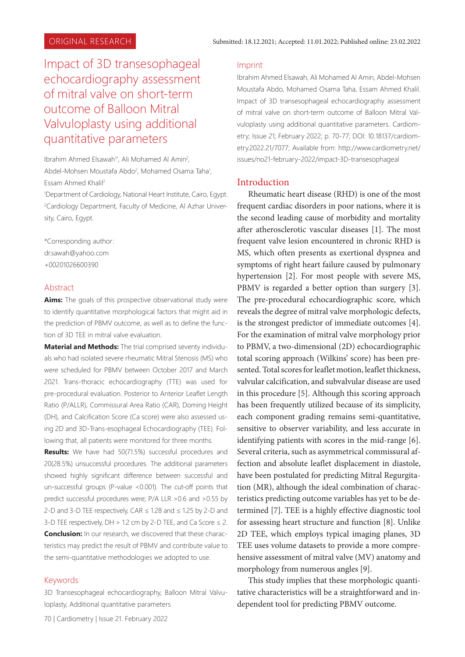# Impact of 3D transesophageal echocardiography assessment of mitral valve on short-term outcome of Balloon Mitral Valvuloplasty using additional quantitative parameters

Ibrahim Ahmed Elsawah<sup>1\*</sup>, Ali Mohamed Al Amin<sup>2</sup>, Abdel-Mohsen Moustafa Abdo<sup>2</sup>, Mohamed Osama Taha<sup>1</sup>, Essam Ahmed Khalil2

1 Department of Cardiology, National Heart Institute, Cairo, Egypt. 2 Cardiology Department, Faculty of Medicine, Al Azhar University, Cairo, Egypt.

\*Corresponding author: dr.sawah@yahoo.com +00201026600390

# Abstract

**Aims:** The goals of this prospective observational study were to identify quantitative morphological factors that might aid in the prediction of PBMV outcome, as well as to define the function of 3D TEE in mitral valve evaluation.

**Material and Methods:** The trial comprised seventy individuals who had isolated severe rheumatic Mitral Stenosis (MS) who were scheduled for PBMV between October 2017 and March 2021. Trans-thoracic echocardiography (TTE) was used for pre-procedural evaluation. Posterior to Anterior Leaflet Length Ratio (P/ALLR), Commissural Area Ratio (CAR), Doming Height (DH), and Calcification Score (Ca score) were also assessed using 2D and 3D-Trans-esophageal Echocardiography (TEE). Following that, all patients were monitored for three months.

**Results:** We have had 50(71.5%) successful procedures and 20(28.5%) unsuccessful procedures. The additional parameters showed highly significant difference between successful and un-successful groups (P-value <0.001). The cut-off points that predict successful procedures were; P/A LLR >0.6 and >0.55 by 2-D and 3-D TEE respectively, CAR ≤ 1.28 and ≤ 1.25 by 2-D and 3-D TEE respectively,  $DH > 1.2$  cm by 2-D TEE, and Ca Score  $\leq 2$ . **Conclusion:** In our research, we discovered that these characteristics may predict the result of PBMV and contribute value to the semi-quantitative methodologies we adopted to use.

#### Keywords

3D Transesophageal echocardiography, Balloon Mitral Valvuloplasty, Additional quantitative parameters

#### Imprint

Ibrahim Ahmed Elsawah, Ali Mohamed Al Amin, Abdel-Mohsen Moustafa Abdo, Mohamed Osama Taha, Essam Ahmed Khalil. Impact of 3D transesophageal echocardiography assessment of mitral valve on short-term outcome of Balloon Mitral Valvuloplasty using additional quantitative parameters. Cardiometry; Issue 21; February 2022; p. 70-77; DOI: 10.18137/cardiometry.2022.21/7077; Available from: http://www.cardiometry.net/ issues/no21-february-2022/impact-3D-transesophageal

# Introduction

Rheumatic heart disease (RHD) is one of the most frequent cardiac disorders in poor nations, where it is the second leading cause of morbidity and mortality after atherosclerotic vascular diseases [1]. The most frequent valve lesion encountered in chronic RHD is MS, which often presents as exertional dyspnea and symptoms of right heart failure caused by pulmonary hypertension [2]. For most people with severe MS, PBMV is regarded a better option than surgery [3]. The pre-procedural echocardiographic score, which reveals the degree of mitral valve morphologic defects, is the strongest predictor of immediate outcomes [4]. For the examination of mitral valve morphology prior to PBMV, a two-dimensional (2D) echocardiographic total scoring approach (Wilkins' score) has been presented. Total scores for leaflet motion, leaflet thickness, valvular calcification, and subvalvular disease are used in this procedure [5]. Although this scoring approach has been frequently utilized because of its simplicity, each component grading remains semi-quantitative, sensitive to observer variability, and less accurate in identifying patients with scores in the mid-range [6]. Several criteria, such as asymmetrical commissural affection and absolute leaflet displacement in diastole, have been postulated for predicting Mitral Regurgitation (MR), although the ideal combination of characteristics predicting outcome variables has yet to be determined [7]. TEE is a highly effective diagnostic tool for assessing heart structure and function [8]. Unlike 2D TEE, which employs typical imaging planes, 3D TEE uses volume datasets to provide a more comprehensive assessment of mitral valve (MV) anatomy and morphology from numerous angles [9].

This study implies that these morphologic quantitative characteristics will be a straightforward and independent tool for predicting PBMV outcome.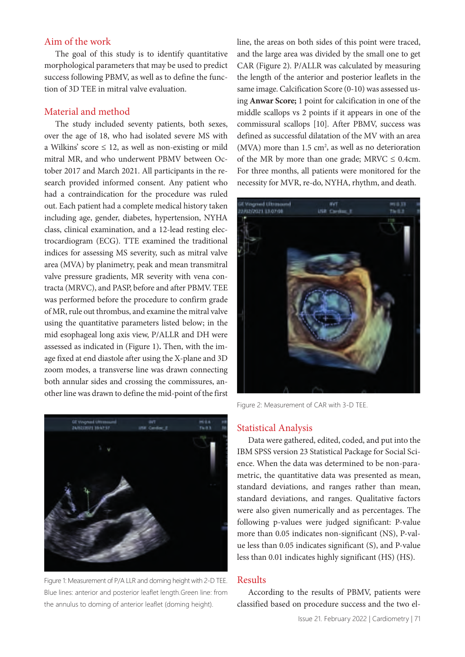# Aim of the work

The goal of this study is to identify quantitative morphological parameters that may be used to predict success following PBMV, as well as to define the function of 3D TEE in mitral valve evaluation.

# Material and method

The study included seventy patients, both sexes, over the age of 18, who had isolated severe MS with a Wilkins' score  $\leq 12$ , as well as non-existing or mild mitral MR, and who underwent PBMV between October 2017 and March 2021. All participants in the research provided informed consent. Any patient who had a contraindication for the procedure was ruled out. Each patient had a complete medical history taken including age, gender, diabetes, hypertension, NYHA class, clinical examination, and a 12-lead resting electrocardiogram (ECG). TTE examined the traditional indices for assessing MS severity, such as mitral valve area (MVA) by planimetry, peak and mean transmitral valve pressure gradients, MR severity with vena contracta (MRVC), and PASP, before and after PBMV. TEE was performed before the procedure to confirm grade of MR, rule out thrombus, and examine the mitral valve using the quantitative parameters listed below; in the mid esophageal long axis view, P/ALLR and DH were assessed as indicated in (Figure 1)**.** Then, with the image fixed at end diastole after using the X-plane and 3D zoom modes, a transverse line was drawn connecting both annular sides and crossing the commissures, another line was drawn to define the mid-point of the first



Figure 1: Measurement of P/A LLR and doming height with 2-D TEE. Blue lines: anterior and posterior leaflet length.Green line: from the annulus to doming of anterior leaflet (doming height).

line, the areas on both sides of this point were traced, and the large area was divided by the small one to get CAR (Figure 2). P/ALLR was calculated by measuring the length of the anterior and posterior leaflets in the same image. Calcification Score (0-10) was assessed using **Anwar Score;** 1 point for calcification in one of the middle scallops vs 2 points if it appears in one of the commissural scallops [10]. After PBMV, success was defined as successful dilatation of the MV with an area (MVA) more than  $1.5 \text{ cm}^2$ , as well as no deterioration of the MR by more than one grade; MRVC  $\leq$  0.4cm. For three months, all patients were monitored for the necessity for MVR, re-do, NYHA, rhythm, and death.



Figure 2: Measurement of CAR with 3-D TEE.

### Statistical Analysis

Data were gathered, edited, coded, and put into the IBM SPSS version 23 Statistical Package for Social Science. When the data was determined to be non-parametric, the quantitative data was presented as mean, standard deviations, and ranges rather than mean, standard deviations, and ranges. Qualitative factors were also given numerically and as percentages. The following p-values were judged significant: P-value more than 0.05 indicates non-significant (NS), P-value less than 0.05 indicates significant (S), and P-value less than 0.01 indicates highly significant (HS) (HS).

# Results

According to the results of PBMV, patients were classified based on procedure success and the two el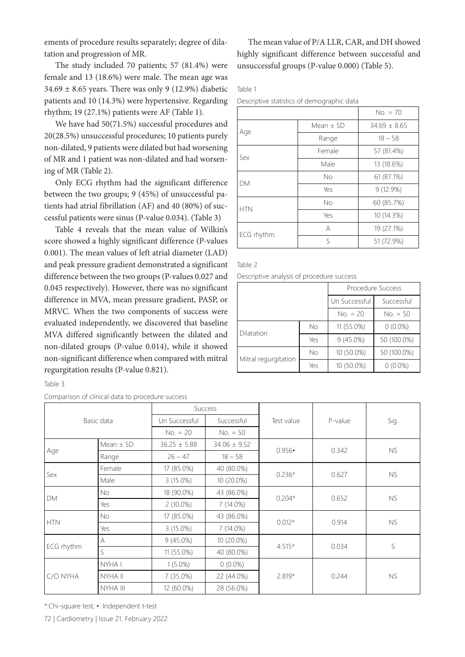ements of procedure results separately; degree of dilatation and progression of MR.

The study included 70 patients; 57 (81.4%) were female and 13 (18.6%) were male. The mean age was  $34.69 \pm 8.65$  years. There was only 9 (12.9%) diabetic patients and 10 (14.3%) were hypertensive. Regarding rhythm; 19 (27.1%) patients were AF (Table 1).

We have had 50(71.5%) successful procedures and 20(28.5%) unsuccessful procedures; 10 patients purely non-dilated, 9 patients were dilated but had worsening of MR and 1 patient was non-dilated and had worsening of MR (Table 2).

Only ECG rhythm had the significant difference between the two groups; 9 (45%) of unsuccessful patients had atrial fibrillation (AF) and 40 (80%) of successful patients were sinus (P-value 0.034). (Table 3)

Table 4 reveals that the mean value of Wilkin's score showed a highly significant difference (P-values 0.001). The mean values of left atrial diameter (LAD) and peak pressure gradient demonstrated a significant difference between the two groups (P-values 0.027 and 0.045 respectively). However, there was no significant difference in MVA, mean pressure gradient, PASP, or MRVC. When the two components of success were evaluated independently, we discovered that baseline MVA differed significantly between the dilated and non-dilated groups (P-value 0.014), while it showed non-significant difference when compared with mitral regurgitation results (P-value 0.821).

Table 3

Comparison of clinical data to procedure success

The mean value of P/A LLR, CAR, and DH showed highly significant difference between successful and unsuccessful groups (P-value 0.000) (Table 5).

Table 1

Descriptive statistics of demographic data

|            |               | $No. = 70$       |  |
|------------|---------------|------------------|--|
|            | Mean $\pm$ SD | $34.69 \pm 8.65$ |  |
| Age        | Range         | $18 - 58$        |  |
| Sex        | Female        | 57 (81.4%)       |  |
|            | Male          | 13 (18.6%)       |  |
| DM         | No            | 61 (87.1%)       |  |
|            | Yes           | 9(12.9%)         |  |
| <b>HTN</b> | <b>No</b>     | 60 (85.7%)       |  |
|            | Yes           | 10 (14.3%)       |  |
| ECG rhythm | А             | 19 (27.1%)       |  |
|            | ς             | 51 (72.9%)       |  |

Table 2

Descriptive analysis of procedure success

|                      |     | Procedure Success |             |  |  |
|----------------------|-----|-------------------|-------------|--|--|
|                      |     | Un Successful     | Successful  |  |  |
|                      |     | $No. = 20$        | $No. = 50$  |  |  |
| Dilatation           | No  | $11(55.0\%)$      | $0(0.0\%)$  |  |  |
|                      | Yes | $9(45.0\%)$       | 50 (100.0%) |  |  |
| Mitral regurgitation | Nο  | 10 (50.0%)        | 50 (100.0%) |  |  |
|                      | Yes | 10 (50.0%)        | $0(0.0\%)$  |  |  |

| Companion or climata tala to procedure success |               |                  |                  |            |         |           |  |
|------------------------------------------------|---------------|------------------|------------------|------------|---------|-----------|--|
| Basic data                                     |               |                  | Success          |            |         | Sig.      |  |
|                                                |               | Un Successful    | Successful       | Test value | P-value |           |  |
|                                                |               | $No. = 20$       | $No. = 50$       |            |         |           |  |
|                                                | Mean $\pm$ SD | $36.25 \pm 5.88$ | $34.06 \pm 9.52$ |            |         |           |  |
| Age                                            | Range         | $26 - 47$        | $18 - 58$        | 0.956      | 0.342   | NS.       |  |
|                                                | Female        | 17 (85.0%)       | 40 (80.0%)       |            |         | NS        |  |
| Sex                                            | Male          | $3(15.0\%)$      | $10(20.0\%)$     | $0.236*$   | 0.627   |           |  |
|                                                | No.           | 18 (90.0%)       | 43 (86.0%)       | $0.204*$   | 0.652   | NS        |  |
| DM                                             | Yes           | $2(10.0\%)$      | $7(14.0\%)$      |            |         |           |  |
| <b>HTN</b>                                     | <b>No</b>     | 17 (85.0%)       | 43 (86.0%)       | $0.012*$   | 0.914   | NS        |  |
|                                                | Yes           | $3(15.0\%)$      | 7 (14.0%)        |            |         |           |  |
| ECG rhythm                                     | A             | $9(45.0\%)$      | 10 (20.0%)       | $4.515*$   |         | S         |  |
|                                                | S             | 11 (55.0%)       | 40 (80.0%)       |            | 0.034   |           |  |
| C/O NYHA                                       | NYHA I        | $1(5.0\%)$       | $0(0.0\%)$       |            | 0.244   |           |  |
|                                                | NYHA II       | $7(35.0\%)$      | 22 (44.0%)       | $2.819*$   |         | <b>NS</b> |  |
|                                                | NYHA III      | 12 (60.0%)       | 28 (56.0%)       |            |         |           |  |

\*:Chi-square test; •: Independent t-test

72 | Cardiometry | Issue 21. February 2022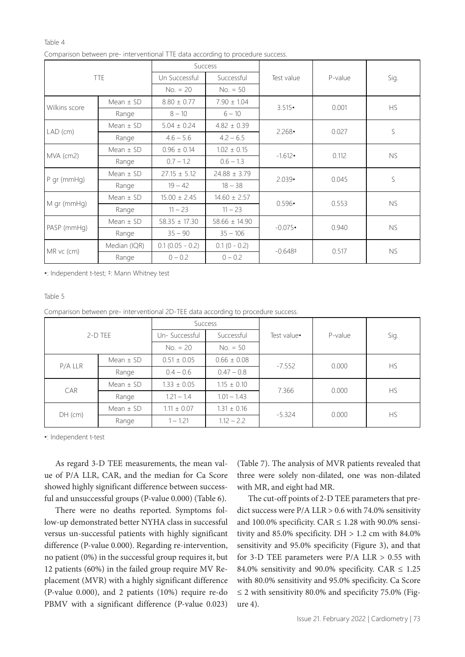#### Table 4

| <b>TTE</b>    |               |                   | <b>Success</b>    |                 |         | Sig.      |  |
|---------------|---------------|-------------------|-------------------|-----------------|---------|-----------|--|
|               |               | Un Successful     | Successful        | Test value      | P-value |           |  |
|               |               | $No. = 20$        | $No. = 50$        |                 |         |           |  |
| Wilkins score | Mean $\pm$ SD | $8.80 \pm 0.77$   | $7.90 \pm 1.04$   | $3.515 \cdot$   | 0.001   | <b>HS</b> |  |
|               | Range         | $8 - 10$          | $6 - 10$          |                 |         |           |  |
|               | Mean $\pm$ SD | $5.04 \pm 0.24$   | $4.82 \pm 0.39$   | $2.268 \cdot$   | 0.027   | S         |  |
| $LAD$ (cm)    | Range         | $4.6 - 5.6$       | $4.2 - 6.5$       |                 |         |           |  |
|               | Mean $\pm$ SD | $0.96 \pm 0.14$   | $1.02 \pm 0.15$   | $-1.612$        |         | <b>NS</b> |  |
| MVA (cm2)     | Range         | $0.7 - 1.2$       | $0.6 - 1.3$       |                 | 0.112   |           |  |
|               | Mean $\pm$ SD | $27.15 \pm 5.12$  | $24.88 \pm 3.79$  |                 |         | S         |  |
| $P$ gr (mmHg) | Range         | $19 - 42$         | $18 - 38$         | $2.039 \cdot$   | 0.045   |           |  |
|               | Mean $\pm$ SD | $15.00 \pm 2.45$  | $14.60 \pm 2.57$  |                 |         | <b>NS</b> |  |
| M gr (mmHg)   | Range         | $11 - 23$         | $11 - 23$         | $0.596 \cdot$   | 0.553   |           |  |
|               | Mean $\pm$ SD | $58.35 \pm 17.30$ | $58.66 \pm 14.90$ | $-0.075$        |         | <b>NS</b> |  |
| PASP (mmHg)   | Range         | $35 - 90$         | $35 - 106$        |                 | 0.940   |           |  |
|               | Median (IQR)  | $0.1(0.05 - 0.2)$ | $0.1(0 - 0.2)$    |                 | 0.517   |           |  |
| MR vc (cm)    | Range         | $0 - 0.2$         | $0 - 0.2$         | $-0.648\dagger$ |         | <b>NS</b> |  |

Comparison between pre- interventional TTE data according to procedure success.

•: Independent t-test; ‡: Mann Whitney test

#### Table 5

Comparison between pre- interventional 2D-TEE data according to procedure success.

| $2-D$ TEE |               | Success         |                 |             |         |           |
|-----------|---------------|-----------------|-----------------|-------------|---------|-----------|
|           |               | Un-Successful   | Successful      | Test value• | P-value | Sig.      |
|           |               | $No. = 20$      | $No. = 50$      |             |         |           |
| P/A LLR   | Mean $\pm$ SD | $0.51 \pm 0.05$ | $0.66 \pm 0.08$ | $-7.552$    | 0.000   | <b>HS</b> |
|           | Range         | $0.4 - 0.6$     | $0.47 - 0.8$    |             |         |           |
| CAR       | Mean $\pm$ SD | $1.33 \pm 0.05$ | $1.15 \pm 0.10$ | 7.366       | 0.000   | HS.       |
|           | Range         | $1.21 - 1.4$    | $1.01 - 1.43$   |             |         |           |
| $DH$ (cm) | Mean $\pm$ SD | $1.11 \pm 0.07$ | $1.31 \pm 0.16$ | $-5.324$    |         | <b>HS</b> |
|           | Range         | $1 - 1.21$      | $1.12 - 2.2$    |             | 0.000   |           |

•: Independent t-test

As regard 3-D TEE measurements, the mean value of P/A LLR, CAR, and the median for Ca Score showed highly significant difference between successful and unsuccessful groups (P-value 0.000) (Table 6).

There were no deaths reported. Symptoms follow-up demonstrated better NYHA class in successful versus un-successful patients with highly significant difference (P-value 0.000). Regarding re-intervention, no patient (0%) in the successful group requires it, but 12 patients (60%) in the failed group require MV Replacement (MVR) with a highly significant difference (P-value 0.000), and 2 patients (10%) require re-do PBMV with a significant difference (P-value 0.023)

(Table 7). The analysis of MVR patients revealed that three were solely non-dilated, one was non-dilated with MR, and eight had MR.

The cut-off points of 2-D TEE parameters that predict success were P/A LLR > 0.6 with 74.0% sensitivity and 100.0% specificity. CAR  $\leq$  1.28 with 90.0% sensitivity and 85.0% specificity. DH  $> 1.2$  cm with 84.0% sensitivity and 95.0% specificity (Figure 3), and that for 3-D TEE parameters were P/A LLR > 0.55 with 84.0% sensitivity and 90.0% specificity. CAR  $\leq 1.25$ with 80.0% sensitivity and 95.0% specificity. Ca Score  $\leq$  2 with sensitivity 80.0% and specificity 75.0% (Figure 4).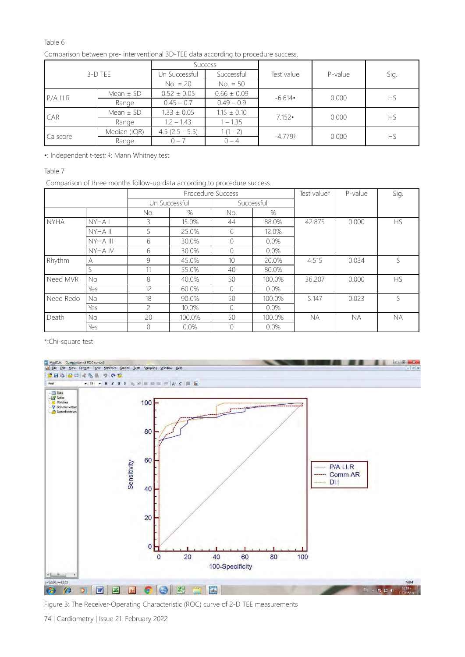# Table 6

| 3-D TEE    |               | <b>Success</b>    |                 |               |         |           |
|------------|---------------|-------------------|-----------------|---------------|---------|-----------|
|            |               | Un Successful     | Successful      | Test value    | P-value | Sig.      |
|            |               | $No. = 20$        | $No. = 50$      |               |         |           |
|            | Mean $\pm$ SD | $0.52 \pm 0.05$   | $0.66 \pm 0.09$ | $-6.614$      | 0.000   | <b>HS</b> |
| $P/A$ LLR  | Range         | $0.45 - 0.7$      | $0.49 - 0.9$    |               |         |           |
| <b>CAR</b> | Mean $\pm$ SD | $1.33 \pm 0.05$   | $1.15 \pm 0.10$ | $7.152 \cdot$ | 0.000   | <b>HS</b> |
|            | Range         | $1.2 - 1.43$      | $1 - 1.35$      |               |         |           |
| Ca score   | Median (IQR)  | $4.5$ (2.5 - 5.5) | $(1 - 2)$       | $-4.779+$     |         | <b>HS</b> |
|            | Range         | $0 - 7$           | $() - 4$        |               | 0.000   |           |

Comparison between pre- interventional 3D-TEE data according to procedure success.

•: Independent t-test; ‡: Mann Whitney test

Table 7

Comparison of three months follow-up data according to procedure success.

|                              |           | Procedure Success |               |                 | Test value* | P-value   | Sig.      |           |
|------------------------------|-----------|-------------------|---------------|-----------------|-------------|-----------|-----------|-----------|
|                              |           |                   | Un Successful | Successful      |             |           |           |           |
|                              |           | No.               | %             | No.             | $\%$        |           |           |           |
| <b>NYHA</b>                  | NYHA I    | 3                 | 15.0%         | 44              | 88.0%       | 42.875    | 0.000     | <b>HS</b> |
|                              | NYHA II   | 5                 | 25.0%         | 6               | 12.0%       |           |           |           |
|                              | NYHA III  | 6                 | 30.0%         | 0               | $0.0\%$     |           |           |           |
|                              | NYHA IV   | 6                 | 30.0%         | 0               | $0.0\%$     |           |           |           |
| Rhythm                       | A         | 9                 | 45.0%         | 10 <sup>1</sup> | 20.0%       | 4.515     | 0.034     | S         |
|                              |           | 11                | 55.0%         | 40              | 80.0%       |           |           |           |
| Need MVR<br><b>No</b><br>Yes |           | 8                 | 40.0%         | 50              | 100.0%      | 36.207    | 0.000     | <b>HS</b> |
|                              |           | 12                | 60.0%         | 0               | $0.0\%$     |           |           |           |
| Need Redo                    | <b>No</b> | 18                | 90.0%         | 50              | 100.0%      | 5.147     | 0.023     | S         |
|                              | Yes       | $\mathcal{P}$     | 10.0%         | 0               | $0.0\%$     |           |           |           |
| Death                        | No.       | 20                | 100.0%        | 50              | 100.0%      | <b>NA</b> | <b>NA</b> | <b>NA</b> |
|                              | Yes       |                   | 0.0%          |                 | 0.0%        |           |           |           |

\*:Chi-square test



Figure 3: The Receiver-Operating Characteristic (ROC) curve of 2-D TEE measurements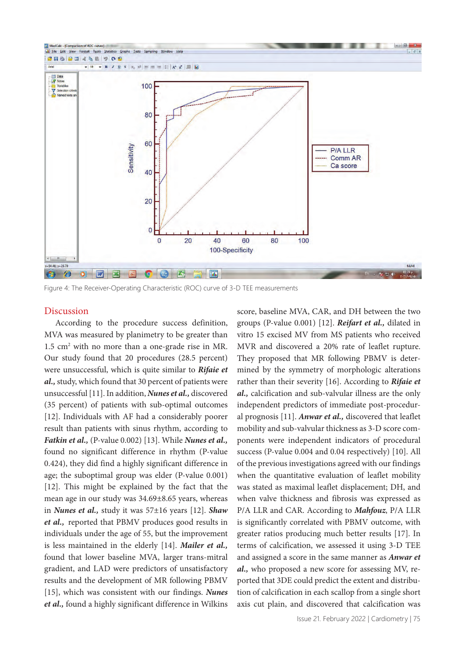

Figure 4: The Receiver-Operating Characteristic (ROC) curve of 3-D TEE measurements

# Discussion

According to the procedure success definition, MVA was measured by planimetry to be greater than  $1.5 \text{ cm}^2$  with no more than a one-grade rise in MR. Our study found that 20 procedures (28.5 percent) were unsuccessful, which is quite similar to *Rifaie et al.,* study, which found that 30 percent of patients were unsuccessful [11]. In addition, *Nunes et al.,* discovered (35 percent) of patients with sub-optimal outcomes [12]. Individuals with AF had a considerably poorer result than patients with sinus rhythm, according to *Fatkin et al.,* (P-value 0.002) [13]. While *Nunes et al.,*  found no significant difference in rhythm (P-value 0.424), they did find a highly significant difference in age; the suboptimal group was elder (P-value 0.001) [12]. This might be explained by the fact that the mean age in our study was 34.69±8.65 years, whereas in *Nunes et al.,* study it was 57±16 years [12]. *Shaw et al.,* reported that PBMV produces good results in individuals under the age of 55, but the improvement is less maintained in the elderly [14]. *Mailer et al.,* found that lower baseline MVA, larger trans-mitral gradient, and LAD were predictors of unsatisfactory results and the development of MR following PBMV [15], which was consistent with our findings. *Nunes et al.,* found a highly significant difference in Wilkins

score, baseline MVA, CAR, and DH between the two groups (P-value 0.001) [12]. *Reifart et al.,* dilated in vitro 15 excised MV from MS patients who received MVR and discovered a 20% rate of leaflet rupture. They proposed that MR following PBMV is determined by the symmetry of morphologic alterations rather than their severity [16]. According to *Rifaie et al.,* calcification and sub-valvular illness are the only independent predictors of immediate post-procedural prognosis [11]. *Anwar et al.,* discovered that leaflet mobility and sub-valvular thickness as 3-D score components were independent indicators of procedural success (P-value 0.004 and 0.04 respectively) [10]. All of the previous investigations agreed with our findings when the quantitative evaluation of leaflet mobility was stated as maximal leaflet displacement; DH, and when valve thickness and fibrosis was expressed as P/A LLR and CAR. According to *Mahfouz*, P/A LLR is significantly correlated with PBMV outcome, with greater ratios producing much better results [17]. In terms of calcification, we assessed it using 3-D TEE and assigned a score in the same manner as *Anwar et al.,* who proposed a new score for assessing MV, reported that 3DE could predict the extent and distribution of calcification in each scallop from a single short axis cut plain, and discovered that calcification was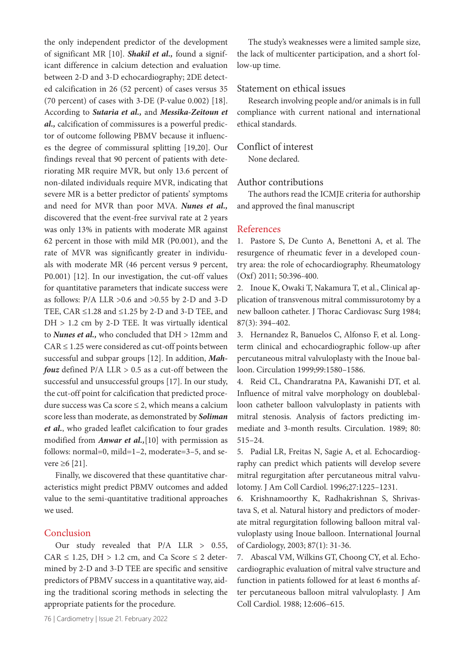the only independent predictor of the development of significant MR [10]. *Shakil et al.,* found a significant difference in calcium detection and evaluation between 2-D and 3-D echocardiography; 2DE detected calcification in 26 (52 percent) of cases versus 35 (70 percent) of cases with 3-DE (P-value 0.002) [18]. According to *Sutaria et al.,* and *Messika-Zeitoun et al.,* calcification of commissures is a powerful predictor of outcome following PBMV because it influences the degree of commissural splitting [19,20]. Our findings reveal that 90 percent of patients with deteriorating MR require MVR, but only 13.6 percent of non-dilated individuals require MVR, indicating that severe MR is a better predictor of patients' symptoms and need for MVR than poor MVA. *Nunes et al.,*  discovered that the event-free survival rate at 2 years was only 13% in patients with moderate MR against 62 percent in those with mild MR (P0.001), and the rate of MVR was significantly greater in individuals with moderate MR (46 percent versus 9 percent, P0.001) [12]. In our investigation, the cut-off values for quantitative parameters that indicate success were as follows:  $P/A$  LLR  $>0.6$  and  $>0.55$  by 2-D and 3-D TEE, CAR  $\leq$ 1.28 and  $\leq$ 1.25 by 2-D and 3-D TEE, and DH > 1.2 cm by 2-D TEE. It was virtually identical to *Nunes et al.,* who concluded that DH > 12mm and  $CAR \leq 1.25$  were considered as cut-off points between successful and subpar groups [12]. In addition, *Mahfouz* defined P/A LLR > 0.5 as a cut-off between the successful and unsuccessful groups [17]. In our study, the cut-off point for calcification that predicted procedure success was Ca score  $\leq$  2, which means a calcium score less than moderate, as demonstrated by *Soliman et al.*, who graded leaflet calcification to four grades modified from *Anwar et al.,*[10] with permission as follows: normal=0, mild=1–2, moderate=3–5, and severe  $\geq 6$  [21].

Finally, we discovered that these quantitative characteristics might predict PBMV outcomes and added value to the semi-quantitative traditional approaches we used.

# Conclusion

Our study revealed that P/A LLR > 0.55, CAR  $\leq$  1.25, DH  $>$  1.2 cm, and Ca Score  $\leq$  2 determined by 2-D and 3-D TEE are specific and sensitive predictors of PBMV success in a quantitative way, aiding the traditional scoring methods in selecting the appropriate patients for the procedure.

76 | Cardiometry | Issue 21. February 2022

The study's weaknesses were a limited sample size, the lack of multicenter participation, and a short follow-up time.

# Statement on ethical issues

Research involving people and/or animals is in full compliance with current national and international ethical standards.

# Conflict of interest

None declared.

# Author contributions

The authors read the ICMJE criteria for authorship and approved the final manuscript

#### References

1. Pastore S, De Cunto A, Benettoni A, et al. The resurgence of rheumatic fever in a developed country area: the role of echocardiography. Rheumatology (Oxf) 2011; 50:396-400.

2. Inoue K, Owaki T, Nakamura T, et al., Clinical application of transvenous mitral commissurotomy by a new balloon catheter. J Thorac Cardiovasc Surg 1984; 87(3): 394–402.

3. Hernandez R, Banuelos C, Alfonso F, et al. Longterm clinical and echocardiographic follow-up after percutaneous mitral valvuloplasty with the Inoue balloon. Circulation 1999;99:1580–1586.

4. Reid CL, Chandraratna PA, Kawanishi DT, et al. Influence of mitral valve morphology on doubleballoon catheter balloon valvuloplasty in patients with mitral stenosis. Analysis of factors predicting immediate and 3-month results. Circulation. 1989; 80: 515–24.

5. Padial LR, Freitas N, Sagie A, et al. Echocardiography can predict which patients will develop severe mitral regurgitation after percutaneous mitral valvulotomy. J Am Coll Cardiol. 1996;27:1225–1231.

6. Krishnamoorthy K, Radhakrishnan S, Shrivastava S, et al. Natural history and predictors of moderate mitral regurgitation following balloon mitral valvuloplasty using Inoue balloon. International Journal of Cardiology, 2003; 87(1): 31-36.

7. Abascal VM, Wilkins GT, Choong CY, et al. Echocardiographic evaluation of mitral valve structure and function in patients followed for at least 6 months after percutaneous balloon mitral valvuloplasty. J Am Coll Cardiol. 1988; 12:606–615.